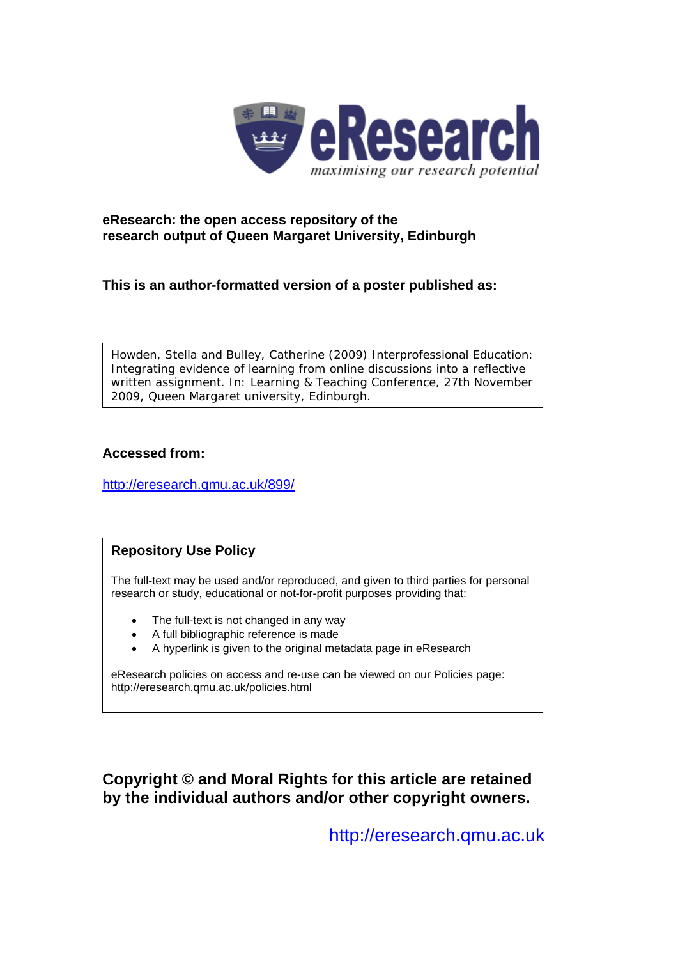

#### **eResearch: the open access repository of the research output of Queen Margaret University, Edinburgh**

**This is an author-formatted version of a poster published as:** 

Howden, Stella and Bulley, Catherine (2009) *Interprofessional Education: Integrating evidence of learning from online discussions into a reflective written assignment.* In: Learning & Teaching Conference, 27th November 2009, Queen Margaret university, Edinburgh.

#### **Accessed from:**

<http://eresearch.qmu.ac.uk/899/>

#### **Repository Use Policy**

The full-text may be used and/or reproduced, and given to third parties for personal research or study, educational or not-for-profit purposes providing that:

- The full-text is not changed in any way
- A full bibliographic reference is made
- A hyperlink is given to the original metadata page in eResearch

eResearch policies on access and re-use can be viewed on our Policies page: <http://eresearch.qmu.ac.uk/policies.html>

**Copyright © and Moral Rights for this article are retained by the individual authors and/or other copyright owners.** 

[http://eresearch.qmu.ac.uk](http://eresearch.qmu.ac.uk/)